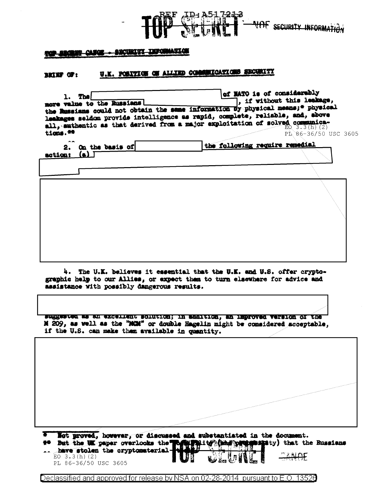

## <u> 1989 - Anglie Standard Bargham (f. 1989)</u>

## U.K. POSITION OF ALLIED COMMUNICATIONS SECURITY **BRIEF OF:**

| <b>The</b><br>more value to the Russians<br>the Russians could not obtain the same information by physical mesns;* physical<br>leakages seldom provide intelligence as rapid, complete, reliable, and, above<br>all, authentic as that derived from a major exploitation of solved communica-<br>$t$ ions. $m$ | of MATO is of considerably<br>, if without this leakage, | PL 86-36/50 USC 3605 |
|----------------------------------------------------------------------------------------------------------------------------------------------------------------------------------------------------------------------------------------------------------------------------------------------------------------|----------------------------------------------------------|----------------------|
| $A - A$<br>On the basis of<br>2.                                                                                                                                                                                                                                                                               | the following require remedial                           |                      |
| (<br>action:                                                                                                                                                                                                                                                                                                   |                                                          |                      |
|                                                                                                                                                                                                                                                                                                                |                                                          |                      |
|                                                                                                                                                                                                                                                                                                                |                                                          |                      |

4. The U.K. believes it essential that the U.K. and U.S. offer cryptographic help to our Allies, or expect them to turn elsewhere for advice and assistance with possibly dangerous results.

suggested as an excellent solution; in addition, an improved version of the M 209, as well as the "MCM" or double Hagelin might be considered acceptable. if the U.S. can make than available in quantity.

\* Not proved, however, or discussed and substantiated in the document. #\* But the UK paper overlooks the possession of the state **Mat**ty) that the Russians

... have stolen the cryptomaterial EO  $3.3(h)(2)$ PL 86-36/50 USC 3605

Declassified and approved for release by NSA on 02-28-2014 pursuant to E.O. 13526